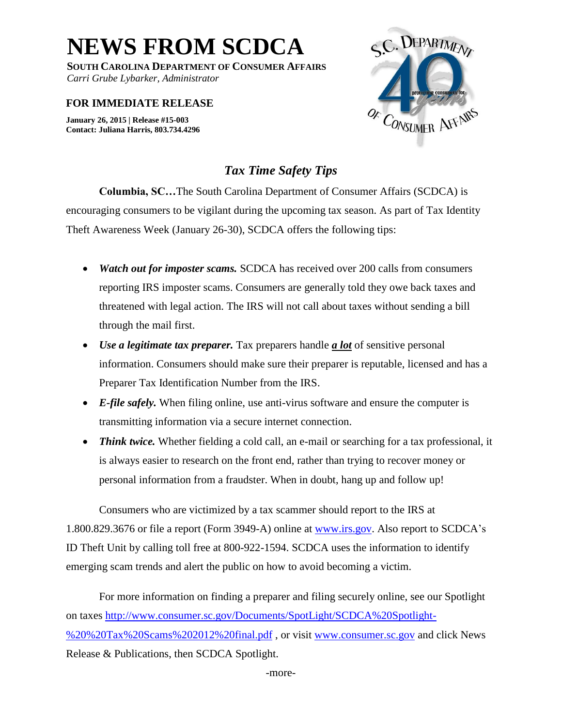**NEWS FROM SCDCA**

**SOUTH CAROLINA DEPARTMENT OF CONSUMER AFFAIRS**

*Carri Grube Lybarker, Administrator*

## **FOR IMMEDIATE RELEASE**

**January 26, 2015 | Release #15-003 Contact: Juliana Harris, 803.734.4296** 



## *Tax Time Safety Tips*

**Columbia, SC…**The South Carolina Department of Consumer Affairs (SCDCA) is encouraging consumers to be vigilant during the upcoming tax season. As part of Tax Identity Theft Awareness Week (January 26-30), SCDCA offers the following tips:

- *Watch out for imposter scams.* SCDCA has received over 200 calls from consumers reporting IRS imposter scams. Consumers are generally told they owe back taxes and threatened with legal action. The IRS will not call about taxes without sending a bill through the mail first.
- *Use a legitimate tax preparer.* Tax preparers handle *a lot* of sensitive personal information. Consumers should make sure their preparer is reputable, licensed and has a Preparer Tax Identification Number from the IRS.
- *E-file safely.* When filing online, use anti-virus software and ensure the computer is transmitting information via a secure internet connection.
- *Think twice*. Whether fielding a cold call, an e-mail or searching for a tax professional, it is always easier to research on the front end, rather than trying to recover money or personal information from a fraudster. When in doubt, hang up and follow up!

Consumers who are victimized by a tax scammer should report to the IRS at 1.800.829.3676 or file a report (Form 3949-A) online at [www.irs.gov.](http://www.irs.gov/) Also report to SCDCA's ID Theft Unit by calling toll free at 800-922-1594. SCDCA uses the information to identify emerging scam trends and alert the public on how to avoid becoming a victim.

For more information on finding a preparer and filing securely online, see our Spotlight on taxes [http://www.consumer.sc.gov/Documents/SpotLight/SCDCA%20Spotlight-](http://www.consumer.sc.gov/Documents/SpotLight/SCDCA%20Spotlight-%20%20Tax%20Scams%202012%20final.pdf) [%20%20Tax%20Scams%202012%20final.pdf](http://www.consumer.sc.gov/Documents/SpotLight/SCDCA%20Spotlight-%20%20Tax%20Scams%202012%20final.pdf) , or visit [www.consumer.sc.gov](http://www.consumer.sc.gov/) and click News Release & Publications, then SCDCA Spotlight.